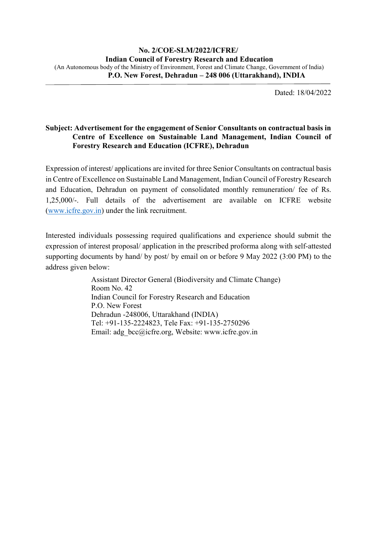Dated: 18/04/2022

## **Subject: Advertisement for the engagement of Senior Consultants on contractual basis in Centre of Excellence on Sustainable Land Management, Indian Council of Forestry Research and Education (ICFRE), Dehradun**

Expression of interest/ applications are invited for three Senior Consultants on contractual basis in Centre of Excellence on Sustainable Land Management, Indian Council of Forestry Research and Education, Dehradun on payment of consolidated monthly remuneration/ fee of Rs. 1,25,000/-. Full details of the advertisement are available on ICFRE website [\(www.icfre.gov.in\)](http://www.icfre.gov.in/) under the link recruitment.

Interested individuals possessing required qualifications and experience should submit the expression of interest proposal/ application in the prescribed proforma along with self-attested supporting documents by hand/ by post/ by email on or before 9 May 2022 (3:00 PM) to the address given below:

> Assistant Director General (Biodiversity and Climate Change) Room No. 42 Indian Council for Forestry Research and Education P.O. New Forest Dehradun -248006, Uttarakhand (INDIA) Tel: +91-135-2224823, Tele Fax: +91-135-2750296 Email: adg\_bcc@icfre.org, Website: www.icfre.gov.in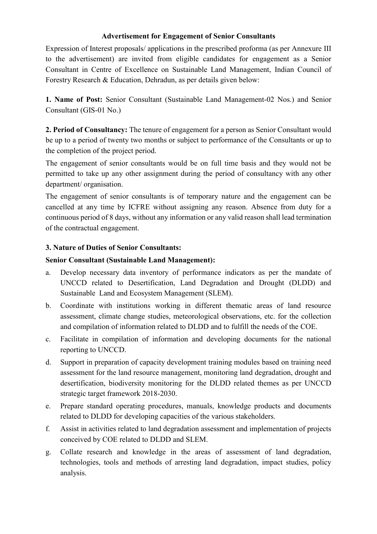## **Advertisement for Engagement of Senior Consultants**

Expression of Interest proposals/ applications in the prescribed proforma (as per Annexure III to the advertisement) are invited from eligible candidates for engagement as a Senior Consultant in Centre of Excellence on Sustainable Land Management, Indian Council of Forestry Research & Education, Dehradun, as per details given below:

**1. Name of Post:** Senior Consultant (Sustainable Land Management-02 Nos.) and Senior Consultant (GIS-01 No.)

**2. Period of Consultancy:** The tenure of engagement for a person as Senior Consultant would be up to a period of twenty two months or subject to performance of the Consultants or up to the completion of the project period.

The engagement of senior consultants would be on full time basis and they would not be permitted to take up any other assignment during the period of consultancy with any other department/ organisation.

The engagement of senior consultants is of temporary nature and the engagement can be cancelled at any time by ICFRE without assigning any reason. Absence from duty for a continuous period of 8 days, without any information or any valid reason shall lead termination of the contractual engagement.

## **3. Nature of Duties of Senior Consultants:**

## **Senior Consultant (Sustainable Land Management):**

- a. Develop necessary data inventory of performance indicators as per the mandate of UNCCD related to Desertification, Land Degradation and Drought (DLDD) and Sustainable Land and Ecosystem Management (SLEM).
- b. Coordinate with institutions working in different thematic areas of land resource assessment, climate change studies, meteorological observations, etc. for the collection and compilation of information related to DLDD and to fulfill the needs of the COE.
- c. Facilitate in compilation of information and developing documents for the national reporting to UNCCD.
- d. Support in preparation of capacity development training modules based on training need assessment for the land resource management, monitoring land degradation, drought and desertification, biodiversity monitoring for the DLDD related themes as per UNCCD strategic target framework 2018-2030.
- e. Prepare standard operating procedures, manuals, knowledge products and documents related to DLDD for developing capacities of the various stakeholders.
- f. Assist in activities related to land degradation assessment and implementation of projects conceived by COE related to DLDD and SLEM.
- g. Collate research and knowledge in the areas of assessment of land degradation, technologies, tools and methods of arresting land degradation, impact studies, policy analysis.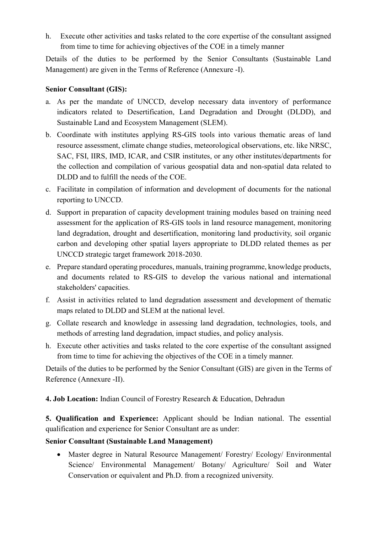h. Execute other activities and tasks related to the core expertise of the consultant assigned from time to time for achieving objectives of the COE in a timely manner

Details of the duties to be performed by the Senior Consultants (Sustainable Land Management) are given in the Terms of Reference (Annexure -I).

## **Senior Consultant (GIS):**

- a. As per the mandate of UNCCD, develop necessary data inventory of performance indicators related to Desertification, Land Degradation and Drought (DLDD), and Sustainable Land and Ecosystem Management (SLEM).
- b. Coordinate with institutes applying RS-GIS tools into various thematic areas of land resource assessment, climate change studies, meteorological observations, etc. like NRSC, SAC, FSI, IIRS, IMD, ICAR, and CSIR institutes, or any other institutes/departments for the collection and compilation of various geospatial data and non-spatial data related to DLDD and to fulfill the needs of the COE.
- c. Facilitate in compilation of information and development of documents for the national reporting to UNCCD.
- d. Support in preparation of capacity development training modules based on training need assessment for the application of RS-GIS tools in land resource management, monitoring land degradation, drought and desertification, monitoring land productivity, soil organic carbon and developing other spatial layers appropriate to DLDD related themes as per UNCCD strategic target framework 2018-2030.
- e. Prepare standard operating procedures, manuals, training programme, knowledge products, and documents related to RS-GIS to develop the various national and international stakeholders' capacities.
- f. Assist in activities related to land degradation assessment and development of thematic maps related to DLDD and SLEM at the national level.
- g. Collate research and knowledge in assessing land degradation, technologies, tools, and methods of arresting land degradation, impact studies, and policy analysis.
- h. Execute other activities and tasks related to the core expertise of the consultant assigned from time to time for achieving the objectives of the COE in a timely manner.

Details of the duties to be performed by the Senior Consultant (GIS) are given in the Terms of Reference (Annexure -II).

**4. Job Location:** Indian Council of Forestry Research & Education, Dehradun

**5. Qualification and Experience:** Applicant should be Indian national. The essential qualification and experience for Senior Consultant are as under:

## **Senior Consultant (Sustainable Land Management)**

• Master degree in Natural Resource Management/ Forestry/ Ecology/ Environmental Science/ Environmental Management/ Botany/ Agriculture/ Soil and Water Conservation or equivalent and Ph.D. from a recognized university.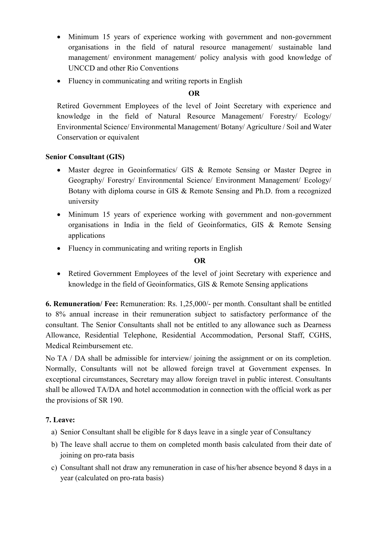- Minimum 15 years of experience working with government and non-government organisations in the field of natural resource management/ sustainable land management/ environment management/ policy analysis with good knowledge of UNCCD and other Rio Conventions
- Fluency in communicating and writing reports in English

## **OR**

Retired Government Employees of the level of Joint Secretary with experience and knowledge in the field of Natural Resource Management/ Forestry/ Ecology/ Environmental Science/ Environmental Management/ Botany/ Agriculture / Soil and Water Conservation or equivalent

## **Senior Consultant (GIS)**

- Master degree in Geoinformatics/ GIS & Remote Sensing or Master Degree in Geography/ Forestry/ Environmental Science/ Environment Management/ Ecology/ Botany with diploma course in GIS & Remote Sensing and Ph.D. from a recognized university
- Minimum 15 years of experience working with government and non-government organisations in India in the field of Geoinformatics, GIS & Remote Sensing applications
- Fluency in communicating and writing reports in English

## **OR**

• Retired Government Employees of the level of joint Secretary with experience and knowledge in the field of Geoinformatics, GIS & Remote Sensing applications

**6. Remuneration/ Fee:** Remuneration: Rs. 1,25,000/- per month. Consultant shall be entitled to 8% annual increase in their remuneration subject to satisfactory performance of the consultant. The Senior Consultants shall not be entitled to any allowance such as Dearness Allowance, Residential Telephone, Residential Accommodation, Personal Staff, CGHS, Medical Reimbursement etc.

No TA / DA shall be admissible for interview/ joining the assignment or on its completion. Normally, Consultants will not be allowed foreign travel at Government expenses. In exceptional circumstances, Secretary may allow foreign travel in public interest. Consultants shall be allowed TA/DA and hotel accommodation in connection with the official work as per the provisions of SR 190.

## **7. Leave:**

- a) Senior Consultant shall be eligible for 8 days leave in a single year of Consultancy
- b) The leave shall accrue to them on completed month basis calculated from their date of joining on pro-rata basis
- c) Consultant shall not draw any remuneration in case of his/her absence beyond 8 days in a year (calculated on pro-rata basis)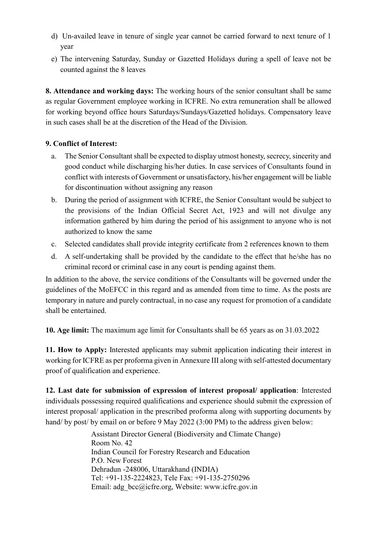- d) Un-availed leave in tenure of single year cannot be carried forward to next tenure of 1 year
- e) The intervening Saturday, Sunday or Gazetted Holidays during a spell of leave not be counted against the 8 leaves

**8. Attendance and working days:** The working hours of the senior consultant shall be same as regular Government employee working in ICFRE. No extra remuneration shall be allowed for working beyond office hours Saturdays/Sundays/Gazetted holidays. Compensatory leave in such cases shall be at the discretion of the Head of the Division.

## **9. Conflict of Interest:**

- a. The Senior Consultant shall be expected to display utmost honesty, secrecy, sincerity and good conduct while discharging his/her duties. In case services of Consultants found in conflict with interests of Government or unsatisfactory, his/her engagement will be liable for discontinuation without assigning any reason
- b. During the period of assignment with ICFRE, the Senior Consultant would be subject to the provisions of the Indian Official Secret Act, 1923 and will not divulge any information gathered by him during the period of his assignment to anyone who is not authorized to know the same
- c. Selected candidates shall provide integrity certificate from 2 references known to them
- d. A self-undertaking shall be provided by the candidate to the effect that he/she has no criminal record or criminal case in any court is pending against them.

In addition to the above, the service conditions of the Consultants will be governed under the guidelines of the MoEFCC in this regard and as amended from time to time. As the posts are temporary in nature and purely contractual, in no case any request for promotion of a candidate shall be entertained.

**10. Age limit:** The maximum age limit for Consultants shall be 65 years as on 31.03.2022

**11. How to Apply:** Interested applicants may submit application indicating their interest in working for ICFRE as per proforma given in Annexure III along with self-attested documentary proof of qualification and experience.

**12. Last date for submission of expression of interest proposal/ application**: Interested individuals possessing required qualifications and experience should submit the expression of interest proposal/ application in the prescribed proforma along with supporting documents by hand/ by post/ by email on or before 9 May 2022 (3:00 PM) to the address given below:

> Assistant Director General (Biodiversity and Climate Change) Room No. 42 Indian Council for Forestry Research and Education P.O. New Forest Dehradun -248006, Uttarakhand (INDIA) Tel: +91-135-2224823, Tele Fax: +91-135-2750296 Email: adg\_bcc@icfre.org, Website: www.icfre.gov.in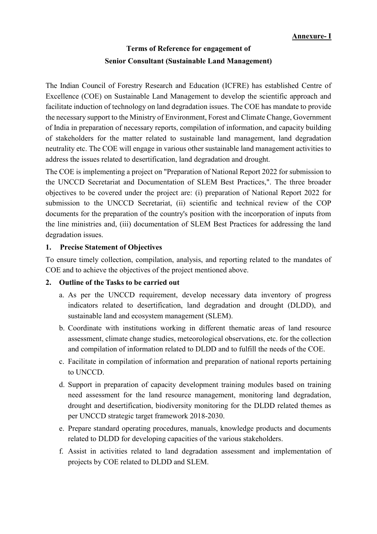# **Terms of Reference for engagement of Senior Consultant (Sustainable Land Management)**

The Indian Council of Forestry Research and Education (ICFRE) has established Centre of Excellence (COE) on Sustainable Land Management to develop the scientific approach and facilitate induction of technology on land degradation issues. The COE has mandate to provide the necessary support to the Ministry of Environment, Forest and Climate Change, Government of India in preparation of necessary reports, compilation of information, and capacity building of stakeholders for the matter related to sustainable land management, land degradation neutrality etc. The COE will engage in various other sustainable land management activities to address the issues related to desertification, land degradation and drought.

The COE is implementing a project on "Preparation of National Report 2022 for submission to the UNCCD Secretariat and Documentation of SLEM Best Practices,". The three broader objectives to be covered under the project are: (i) preparation of National Report 2022 for submission to the UNCCD Secretariat, (ii) scientific and technical review of the COP documents for the preparation of the country's position with the incorporation of inputs from the line ministries and, (iii) documentation of SLEM Best Practices for addressing the land degradation issues.

## **1. Precise Statement of Objectives**

To ensure timely collection, compilation, analysis, and reporting related to the mandates of COE and to achieve the objectives of the project mentioned above.

## **2. Outline of the Tasks to be carried out**

- a. As per the UNCCD requirement, develop necessary data inventory of progress indicators related to desertification, land degradation and drought (DLDD), and sustainable land and ecosystem management (SLEM).
- b. Coordinate with institutions working in different thematic areas of land resource assessment, climate change studies, meteorological observations, etc. for the collection and compilation of information related to DLDD and to fulfill the needs of the COE.
- c. Facilitate in compilation of information and preparation of national reports pertaining to UNCCD.
- d. Support in preparation of capacity development training modules based on training need assessment for the land resource management, monitoring land degradation, drought and desertification, biodiversity monitoring for the DLDD related themes as per UNCCD strategic target framework 2018-2030.
- e. Prepare standard operating procedures, manuals, knowledge products and documents related to DLDD for developing capacities of the various stakeholders.
- f. Assist in activities related to land degradation assessment and implementation of projects by COE related to DLDD and SLEM.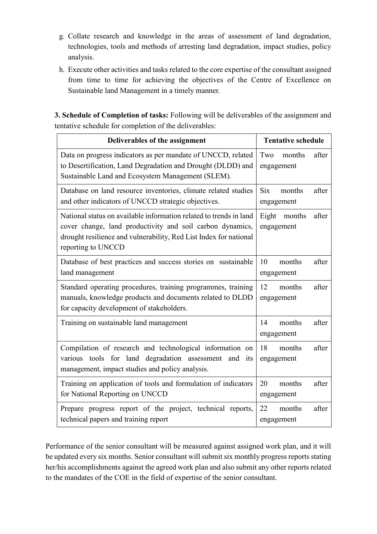- g. Collate research and knowledge in the areas of assessment of land degradation, technologies, tools and methods of arresting land degradation, impact studies, policy analysis.
- h. Execute other activities and tasks related to the core expertise of the consultant assigned from time to time for achieving the objectives of the Centre of Excellence on Sustainable land Management in a timely manner.

**3. Schedule of Completion of tasks:** Following will be deliverables of the assignment and tentative schedule for completion of the deliverables:

| Deliverables of the assignment                                                                                                                                                                                             | <b>Tentative schedule</b>                   |  |  |  |
|----------------------------------------------------------------------------------------------------------------------------------------------------------------------------------------------------------------------------|---------------------------------------------|--|--|--|
| Data on progress indicators as per mandate of UNCCD, related<br>to Desertification, Land Degradation and Drought (DLDD) and<br>Sustainable Land and Ecosystem Management (SLEM).                                           | Two<br>months<br>after<br>engagement        |  |  |  |
| Database on land resource inventories, climate related studies<br>and other indicators of UNCCD strategic objectives.                                                                                                      | <b>Six</b><br>months<br>after<br>engagement |  |  |  |
| National status on available information related to trends in land<br>cover change, land productivity and soil carbon dynamics,<br>drought resilience and vulnerability, Red List Index for national<br>reporting to UNCCD | Eight months<br>after<br>engagement         |  |  |  |
| Database of best practices and success stories on sustainable<br>land management                                                                                                                                           | 10<br>months<br>after<br>engagement         |  |  |  |
| Standard operating procedures, training programmes, training<br>manuals, knowledge products and documents related to DLDD<br>for capacity development of stakeholders.                                                     | 12<br>after<br>months<br>engagement         |  |  |  |
| Training on sustainable land management                                                                                                                                                                                    | months<br>after<br>14<br>engagement         |  |  |  |
| Compilation of research and technological information on<br>various tools for land degradation assessment and<br>its<br>management, impact studies and policy analysis.                                                    | after<br>18<br>months<br>engagement         |  |  |  |
| Training on application of tools and formulation of indicators<br>for National Reporting on UNCCD                                                                                                                          | after<br>20<br>months<br>engagement         |  |  |  |
| Prepare progress report of the project, technical reports,<br>technical papers and training report                                                                                                                         | 22<br>after<br>months<br>engagement         |  |  |  |

Performance of the senior consultant will be measured against assigned work plan, and it will be updated every six months. Senior consultant will submit six monthly progress reports stating her/his accomplishments against the agreed work plan and also submit any other reports related to the mandates of the COE in the field of expertise of the senior consultant.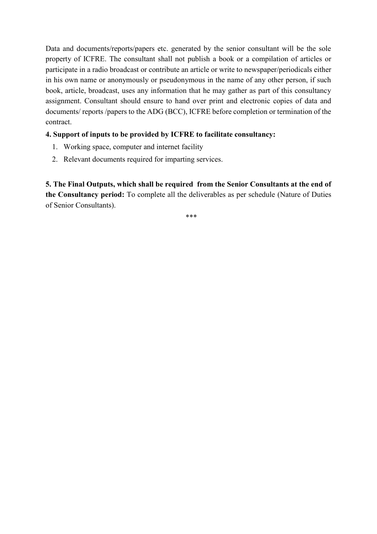Data and documents/reports/papers etc. generated by the senior consultant will be the sole property of ICFRE. The consultant shall not publish a book or a compilation of articles or participate in a radio broadcast or contribute an article or write to newspaper/periodicals either in his own name or anonymously or pseudonymous in the name of any other person, if such book, article, broadcast, uses any information that he may gather as part of this consultancy assignment. Consultant should ensure to hand over print and electronic copies of data and documents/ reports /papers to the ADG (BCC), ICFRE before completion or termination of the contract.

## **4. Support of inputs to be provided by ICFRE to facilitate consultancy:**

- 1. Working space, computer and internet facility
- 2. Relevant documents required for imparting services.

**5. The Final Outputs, which shall be required from the Senior Consultants at the end of the Consultancy period:** To complete all the deliverables as per schedule (Nature of Duties of Senior Consultants).

\*\*\*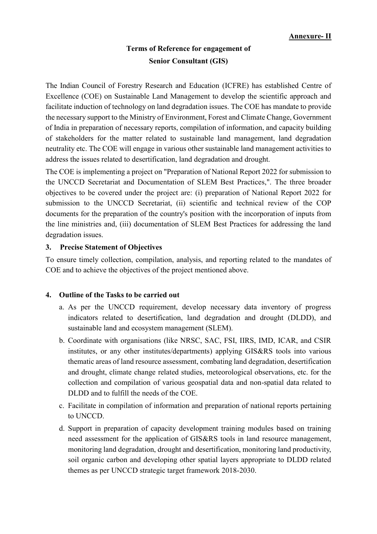## **Terms of Reference for engagement of Senior Consultant (GIS)**

The Indian Council of Forestry Research and Education (ICFRE) has established Centre of Excellence (COE) on Sustainable Land Management to develop the scientific approach and facilitate induction of technology on land degradation issues. The COE has mandate to provide the necessary support to the Ministry of Environment, Forest and Climate Change, Government of India in preparation of necessary reports, compilation of information, and capacity building of stakeholders for the matter related to sustainable land management, land degradation neutrality etc. The COE will engage in various other sustainable land management activities to address the issues related to desertification, land degradation and drought.

The COE is implementing a project on "Preparation of National Report 2022 for submission to the UNCCD Secretariat and Documentation of SLEM Best Practices,". The three broader objectives to be covered under the project are: (i) preparation of National Report 2022 for submission to the UNCCD Secretariat, (ii) scientific and technical review of the COP documents for the preparation of the country's position with the incorporation of inputs from the line ministries and, (iii) documentation of SLEM Best Practices for addressing the land degradation issues.

## **3. Precise Statement of Objectives**

To ensure timely collection, compilation, analysis, and reporting related to the mandates of COE and to achieve the objectives of the project mentioned above.

## **4. Outline of the Tasks to be carried out**

- a. As per the UNCCD requirement, develop necessary data inventory of progress indicators related to desertification, land degradation and drought (DLDD), and sustainable land and ecosystem management (SLEM).
- b. Coordinate with organisations (like NRSC, SAC, FSI, IIRS, IMD, ICAR, and CSIR institutes, or any other institutes/departments) applying GIS&RS tools into various thematic areas of land resource assessment, combating land degradation, desertification and drought, climate change related studies, meteorological observations, etc. for the collection and compilation of various geospatial data and non-spatial data related to DLDD and to fulfill the needs of the COE.
- c. Facilitate in compilation of information and preparation of national reports pertaining to UNCCD.
- d. Support in preparation of capacity development training modules based on training need assessment for the application of GIS&RS tools in land resource management, monitoring land degradation, drought and desertification, monitoring land productivity, soil organic carbon and developing other spatial layers appropriate to DLDD related themes as per UNCCD strategic target framework 2018-2030.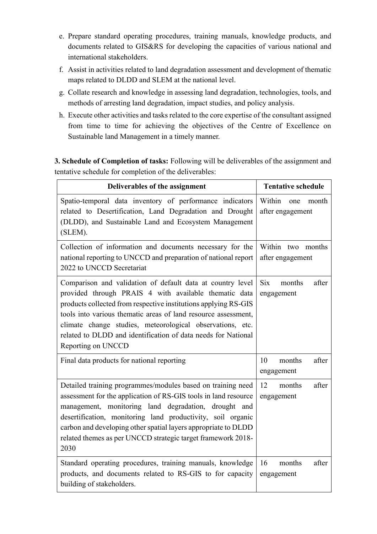- e. Prepare standard operating procedures, training manuals, knowledge products, and documents related to GIS&RS for developing the capacities of various national and international stakeholders.
- f. Assist in activities related to land degradation assessment and development of thematic maps related to DLDD and SLEM at the national level.
- g. Collate research and knowledge in assessing land degradation, technologies, tools, and methods of arresting land degradation, impact studies, and policy analysis.
- h. Execute other activities and tasks related to the core expertise of the consultant assigned from time to time for achieving the objectives of the Centre of Excellence on Sustainable land Management in a timely manner.

**3. Schedule of Completion of tasks:** Following will be deliverables of the assignment and tentative schedule for completion of the deliverables:

| Deliverables of the assignment                                                                                                                                                                                                                                                                                                                                                                               | <b>Tentative schedule</b>                   |  |  |
|--------------------------------------------------------------------------------------------------------------------------------------------------------------------------------------------------------------------------------------------------------------------------------------------------------------------------------------------------------------------------------------------------------------|---------------------------------------------|--|--|
| Spatio-temporal data inventory of performance indicators<br>related to Desertification, Land Degradation and Drought<br>(DLDD), and Sustainable Land and Ecosystem Management<br>(SLEM).                                                                                                                                                                                                                     | Within<br>month<br>one<br>after engagement  |  |  |
| Collection of information and documents necessary for the<br>national reporting to UNCCD and preparation of national report<br>2022 to UNCCD Secretariat                                                                                                                                                                                                                                                     | Within two months<br>after engagement       |  |  |
| Comparison and validation of default data at country level<br>provided through PRAIS 4 with available thematic data<br>products collected from respective institutions applying RS-GIS<br>tools into various thematic areas of land resource assessment,<br>climate change studies, meteorological observations, etc.<br>related to DLDD and identification of data needs for National<br>Reporting on UNCCD | <b>Six</b><br>months<br>after<br>engagement |  |  |
| Final data products for national reporting                                                                                                                                                                                                                                                                                                                                                                   | months<br>after<br>10<br>engagement         |  |  |
| Detailed training programmes/modules based on training need<br>assessment for the application of RS-GIS tools in land resource<br>management, monitoring land degradation, drought and<br>desertification, monitoring land productivity, soil organic<br>carbon and developing other spatial layers appropriate to DLDD<br>related themes as per UNCCD strategic target framework 2018-<br>2030              | after<br>12<br>months<br>engagement         |  |  |
| Standard operating procedures, training manuals, knowledge<br>products, and documents related to RS-GIS to for capacity<br>building of stakeholders.                                                                                                                                                                                                                                                         | after<br>16<br>months<br>engagement         |  |  |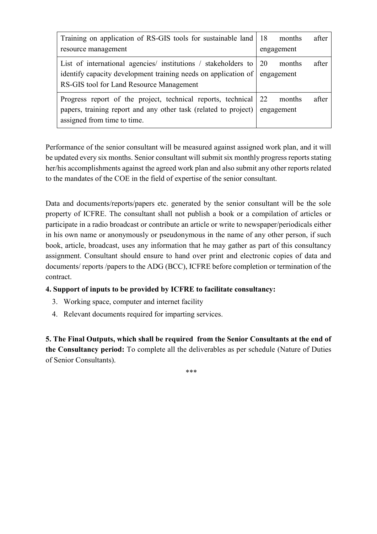| Training on application of RS-GIS tools for sustainable land 18           |            | months     | after |
|---------------------------------------------------------------------------|------------|------------|-------|
| resource management                                                       | engagement |            |       |
| List of international agencies/ institutions / stakeholders to $\vert$ 20 |            | months     | after |
| identify capacity development training needs on application of engagement |            |            |       |
| RS-GIS tool for Land Resource Management                                  |            |            |       |
| Progress report of the project, technical reports, technical 22           |            | months     | after |
| papers, training report and any other task (related to project)           |            | engagement |       |
| assigned from time to time.                                               |            |            |       |

Performance of the senior consultant will be measured against assigned work plan, and it will be updated every six months. Senior consultant will submit six monthly progress reports stating her/his accomplishments against the agreed work plan and also submit any other reports related to the mandates of the COE in the field of expertise of the senior consultant.

Data and documents/reports/papers etc. generated by the senior consultant will be the sole property of ICFRE. The consultant shall not publish a book or a compilation of articles or participate in a radio broadcast or contribute an article or write to newspaper/periodicals either in his own name or anonymously or pseudonymous in the name of any other person, if such book, article, broadcast, uses any information that he may gather as part of this consultancy assignment. Consultant should ensure to hand over print and electronic copies of data and documents/ reports /papers to the ADG (BCC), ICFRE before completion or termination of the contract.

## **4. Support of inputs to be provided by ICFRE to facilitate consultancy:**

- 3. Working space, computer and internet facility
- 4. Relevant documents required for imparting services.

**5. The Final Outputs, which shall be required from the Senior Consultants at the end of the Consultancy period:** To complete all the deliverables as per schedule (Nature of Duties of Senior Consultants).

\*\*\*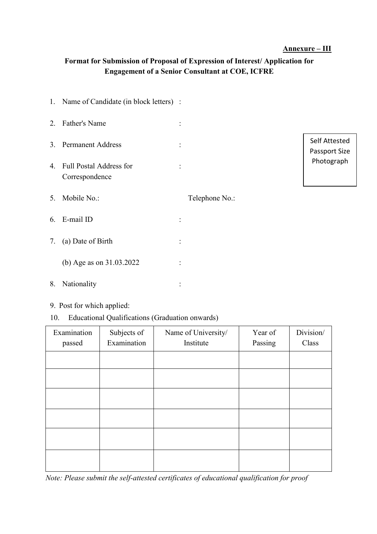#### **Annexure – III**

## **Format for Submission of Proposal of Expression of Interest/ Application for Engagement of a Senior Consultant at COE, ICFRE**

|    | 1. Name of Candidate (in block letters) : |                |                |                                              |  |
|----|-------------------------------------------|----------------|----------------|----------------------------------------------|--|
| 2. | <b>Father's Name</b>                      |                |                |                                              |  |
|    | 3. Permanent Address                      | $\ddot{\cdot}$ |                | Self Attested<br>Passport Size<br>Photograph |  |
| 4. | Full Postal Address for<br>Correspondence |                |                |                                              |  |
| 5. | Mobile No.:                               |                | Telephone No.: |                                              |  |
| 6. | E-mail ID                                 |                |                |                                              |  |
| 7. | (a) Date of Birth                         |                |                |                                              |  |
|    | (b) Age as on 31.03.2022                  |                |                |                                              |  |
| 8. | Nationality                               |                |                |                                              |  |
|    |                                           |                |                |                                              |  |

## 9. Post for which applied:

10. Educational Qualifications (Graduation onwards)

| Examination<br>passed | Subjects of<br>Examination | Name of University/<br>Institute | Year of<br>Passing | Division/<br>Class |
|-----------------------|----------------------------|----------------------------------|--------------------|--------------------|
|                       |                            |                                  |                    |                    |
|                       |                            |                                  |                    |                    |
|                       |                            |                                  |                    |                    |
|                       |                            |                                  |                    |                    |
|                       |                            |                                  |                    |                    |
|                       |                            |                                  |                    |                    |

*Note: Please submit the self-attested certificates of educational qualification for proof*